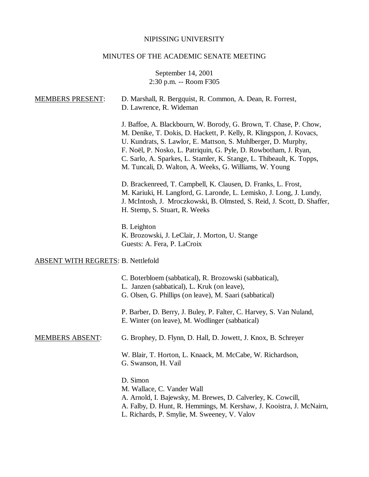# NIPISSING UNIVERSITY

# MINUTES OF THE ACADEMIC SENATE MEETING

September 14, 2001 2:30 p.m. -- Room F305

| <b>MEMBERS PRESENT:</b>                   | D. Marshall, R. Bergquist, R. Common, A. Dean, R. Forrest,<br>D. Lawrence, R. Wideman                                                                                                                                                                                                                                                                                                                           |
|-------------------------------------------|-----------------------------------------------------------------------------------------------------------------------------------------------------------------------------------------------------------------------------------------------------------------------------------------------------------------------------------------------------------------------------------------------------------------|
|                                           | J. Baffoe, A. Blackbourn, W. Borody, G. Brown, T. Chase, P. Chow,<br>M. Denike, T. Dokis, D. Hackett, P. Kelly, R. Klingspon, J. Kovacs,<br>U. Kundrats, S. Lawlor, E. Mattson, S. Muhlberger, D. Murphy,<br>F. Noël, P. Nosko, L. Patriquin, G. Pyle, D. Rowbotham, J. Ryan,<br>C. Sarlo, A. Sparkes, L. Stamler, K. Stange, L. Thibeault, K. Topps,<br>M. Tuncali, D. Walton, A. Weeks, G. Williams, W. Young |
|                                           | D. Brackenreed, T. Campbell, K. Clausen, D. Franks, L. Frost,<br>M. Kariuki, H. Langford, G. Laronde, L. Lemisko, J. Long, J. Lundy,<br>J. McIntosh, J. Mroczkowski, B. Olmsted, S. Reid, J. Scott, D. Shaffer,<br>H. Stemp, S. Stuart, R. Weeks                                                                                                                                                                |
|                                           | B. Leighton<br>K. Brozowski, J. LeClair, J. Morton, U. Stange<br>Guests: A. Fera, P. LaCroix                                                                                                                                                                                                                                                                                                                    |
| <b>ABSENT WITH REGRETS: B. Nettlefold</b> |                                                                                                                                                                                                                                                                                                                                                                                                                 |
|                                           | C. Boterbloem (sabbatical), R. Brozowski (sabbatical),<br>L. Janzen (sabbatical), L. Kruk (on leave),<br>G. Olsen, G. Phillips (on leave), M. Saari (sabbatical)                                                                                                                                                                                                                                                |
|                                           | P. Barber, D. Berry, J. Buley, P. Falter, C. Harvey, S. Van Nuland,<br>E. Winter (on leave), M. Wodlinger (sabbatical)                                                                                                                                                                                                                                                                                          |
| <b>MEMBERS ABSENT:</b>                    | G. Brophey, D. Flynn, D. Hall, D. Jowett, J. Knox, B. Schreyer                                                                                                                                                                                                                                                                                                                                                  |
|                                           | W. Blair, T. Horton, L. Knaack, M. McCabe, W. Richardson,<br>G. Swanson, H. Vail                                                                                                                                                                                                                                                                                                                                |
|                                           | D. Simon<br>M. Wallace, C. Vander Wall<br>A. Arnold, I. Bajewsky, M. Brewes, D. Calverley, K. Cowcill,<br>A. Falby, D. Hunt, R. Hemmings, M. Kershaw, J. Kooistra, J. McNairn,<br>L. Richards, P. Smylie, M. Sweeney, V. Valov                                                                                                                                                                                  |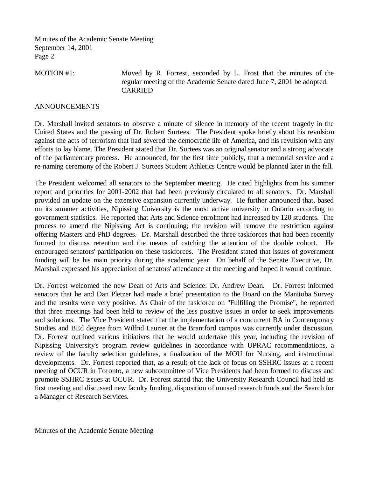Minutes of the Academic Senate Meeting September 14, 2001 Page 2

MOTION #1: Moved by R. Forrest, seconded by L. Frost that the minutes of the regular meeting of the Academic Senate dated June 7, 2001 be adopted. CARRIED

#### ANNOUNCEMENTS

Dr. Marshall invited senators to observe a minute of silence in memory of the recent tragedy in the United States and the passing of Dr. Robert Surtees. The President spoke briefly about his revulsion against the acts of terrorism that had severed the democratic life of America, and his revulsion with any efforts to lay blame. The President stated that Dr. Surtees was an original senator and a strong advocate of the parliamentary process. He announced, for the first time publicly, that a memorial service and a re-naming ceremony of the Robert J. Surtees Student Athletics Centre would be planned later in the fall.

The President welcomed all senators to the September meeting. He cited highlights from his summer report and priorities for 2001-2002 that had been previously circulated to all senators. Dr. Marshall provided an update on the extensive expansion currently underway. He further announced that, based on its summer activities, Nipissing University is the most active university in Ontario according to government statistics. He reported that Arts and Science enrolment had increased by 120 students. The process to amend the Nipissing Act is continuing; the revision will remove the restriction against offering Masters and PhD degrees. Dr. Marshall described the three taskforces that had been recently formed to discuss retention and the means of catching the attention of the double cohort. He encouraged senators' participation on these taskforces. The President stated that issues of government funding will be his main priority during the academic year. On behalf of the Senate Executive, Dr. Marshall expressed his appreciation of senators' attendance at the meeting and hoped it would continue.

Dr. Forrest welcomed the new Dean of Arts and Science: Dr. Andrew Dean. Dr. Forrest informed senators that he and Dan Pletzer had made a brief presentation to the Board on the Manitoba Survey and the results were very positive. As Chair of the taskforce on "Fulfilling the Promise", he reported that three meetings had been held to review of the less positive issues in order to seek improvements and solutions. The Vice President stated that the implementation of a concurrent BA in Contemporary Studies and BEd degree from Wilfrid Laurier at the Brantford campus was currently under discussion. Dr. Forrest outlined various initiatives that he would undertake this year, including the revision of Nipissing University's program review guidelines in accordance with UPRAC recommendations, a review of the faculty selection guidelines, a finalization of the MOU for Nursing, and instructional developments. Dr. Forrest reported that, as a result of the lack of focus on SSHRC issues at a recent meeting of OCUR in Toronto, a new subcommittee of Vice Presidents had been formed to discuss and promote SSHRC issues at OCUR. Dr. Forrest stated that the University Research Council had held its first meeting and discussed new faculty funding, disposition of unused research funds and the Search for a Manager of Research Services.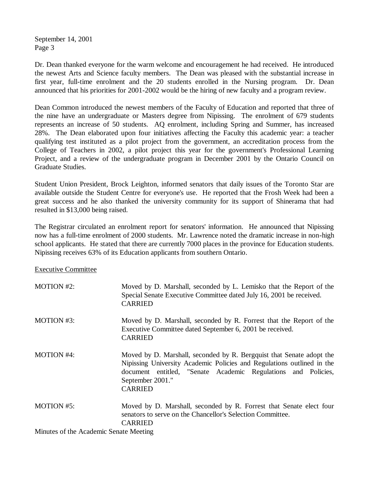September 14, 2001 Page 3

Dr. Dean thanked everyone for the warm welcome and encouragement he had received. He introduced the newest Arts and Science faculty members. The Dean was pleased with the substantial increase in first year, full-time enrolment and the 20 students enrolled in the Nursing program. Dr. Dean announced that his priorities for 2001-2002 would be the hiring of new faculty and a program review.

Dean Common introduced the newest members of the Faculty of Education and reported that three of the nine have an undergraduate or Masters degree from Nipissing. The enrolment of 679 students represents an increase of 50 students. AQ enrolment, including Spring and Summer, has increased 28%. The Dean elaborated upon four initiatives affecting the Faculty this academic year: a teacher qualifying test instituted as a pilot project from the government, an accreditation process from the College of Teachers in 2002, a pilot project this year for the government's Professional Learning Project, and a review of the undergraduate program in December 2001 by the Ontario Council on Graduate Studies.

Student Union President, Brock Leighton, informed senators that daily issues of the Toronto Star are available outside the Student Centre for everyone's use. He reported that the Frosh Week had been a great success and he also thanked the university community for its support of Shinerama that had resulted in \$13,000 being raised.

The Registrar circulated an enrolment report for senators' information. He announced that Nipissing now has a full-time enrolment of 2000 students. Mr. Lawrence noted the dramatic increase in non-high school applicants. He stated that there are currently 7000 places in the province for Education students. Nipissing receives 63% of its Education applicants from southern Ontario.

Executive Committee

| <b>MOTION #2:</b>                      | Moved by D. Marshall, seconded by L. Lemisko that the Report of the<br>Special Senate Executive Committee dated July 16, 2001 be received.<br><b>CARRIED</b>                                                                                          |
|----------------------------------------|-------------------------------------------------------------------------------------------------------------------------------------------------------------------------------------------------------------------------------------------------------|
| MOTION #3:                             | Moved by D. Marshall, seconded by R. Forrest that the Report of the<br>Executive Committee dated September 6, 2001 be received.<br><b>CARRIED</b>                                                                                                     |
| <b>MOTION #4:</b>                      | Moved by D. Marshall, seconded by R. Bergquist that Senate adopt the<br>Nipissing University Academic Policies and Regulations outlined in the<br>document entitled, "Senate Academic Regulations and Policies,<br>September 2001."<br><b>CARRIED</b> |
| <b>MOTION #5:</b>                      | Moved by D. Marshall, seconded by R. Forrest that Senate elect four<br>senators to serve on the Chancellor's Selection Committee.<br><b>CARRIED</b>                                                                                                   |
| Minutes of the Academic Senate Meeting |                                                                                                                                                                                                                                                       |

Minutes of the Academic Senate Meeting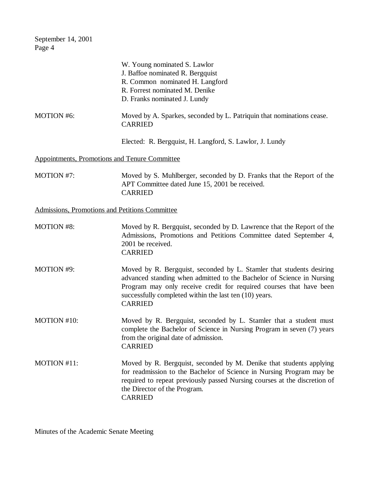September 14, 2001 Page 4

|                                                      | W. Young nominated S. Lawlor<br>J. Baffoe nominated R. Bergquist<br>R. Common nominated H. Langford<br>R. Forrest nominated M. Denike<br>D. Franks nominated J. Lundy                                                                                                                            |
|------------------------------------------------------|--------------------------------------------------------------------------------------------------------------------------------------------------------------------------------------------------------------------------------------------------------------------------------------------------|
| <b>MOTION #6:</b>                                    | Moved by A. Sparkes, seconded by L. Patriquin that nominations cease.<br><b>CARRIED</b>                                                                                                                                                                                                          |
|                                                      | Elected: R. Bergquist, H. Langford, S. Lawlor, J. Lundy                                                                                                                                                                                                                                          |
| <b>Appointments, Promotions and Tenure Committee</b> |                                                                                                                                                                                                                                                                                                  |
| MOTION #7:                                           | Moved by S. Muhlberger, seconded by D. Franks that the Report of the<br>APT Committee dated June 15, 2001 be received.<br><b>CARRIED</b>                                                                                                                                                         |
| Admissions, Promotions and Petitions Committee       |                                                                                                                                                                                                                                                                                                  |
| <b>MOTION #8:</b>                                    | Moved by R. Bergquist, seconded by D. Lawrence that the Report of the<br>Admissions, Promotions and Petitions Committee dated September 4,<br>2001 be received.<br><b>CARRIED</b>                                                                                                                |
| <b>MOTION #9:</b>                                    | Moved by R. Bergquist, seconded by L. Stamler that students desiring<br>advanced standing when admitted to the Bachelor of Science in Nursing<br>Program may only receive credit for required courses that have been<br>successfully completed within the last ten (10) years.<br><b>CARRIED</b> |
| MOTION #10:                                          | Moved by R. Bergquist, seconded by L. Stamler that a student must<br>complete the Bachelor of Science in Nursing Program in seven (7) years<br>from the original date of admission.<br><b>CARRIED</b>                                                                                            |
| MOTION #11:                                          | Moved by R. Bergquist, seconded by M. Denike that students applying<br>for readmission to the Bachelor of Science in Nursing Program may be<br>required to repeat previously passed Nursing courses at the discretion of<br>the Director of the Program.<br><b>CARRIED</b>                       |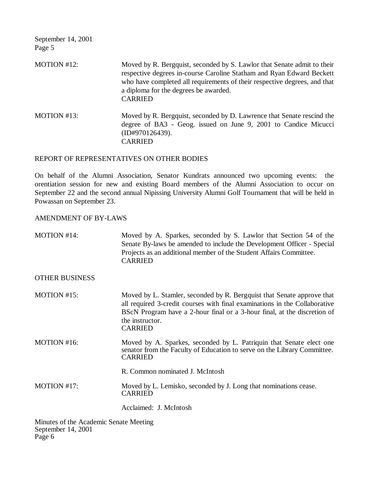September 14, 2001 Page 5

MOTION #12: Moved by R. Bergquist, seconded by S. Lawlor that Senate admit to their respective degrees in-course Caroline Statham and Ryan Edward Beckett who have completed all requirements of their respective degrees, and that a diploma for the degrees be awarded. CARRIED MOTION #13: Moved by R. Bergquist, seconded by D. Lawrence that Senate rescind the degree of BA3 - Geog. issued on June 9, 2001 to Candice Micucci (ID#970126439).

CARRIED

## REPORT OF REPRESENTATIVES ON OTHER BODIES

On behalf of the Alumni Association, Senator Kundrats announced two upcoming events: the orentiation session for new and existing Board members of the Alumni Association to occur on September 22 and the second annual Nipissing University Alumni Golf Tournament that will be held in Powassan on September 23.

## AMENDMENT OF BY-LAWS

| MOTION #14:           | Moved by A. Sparkes, seconded by S. Lawlor that Section 54 of the<br>Senate By-laws be amended to include the Development Officer - Special<br>Projects as an additional member of the Student Affairs Committee.<br><b>CARRIED</b>                                   |
|-----------------------|-----------------------------------------------------------------------------------------------------------------------------------------------------------------------------------------------------------------------------------------------------------------------|
| <b>OTHER BUSINESS</b> |                                                                                                                                                                                                                                                                       |
| MOTION #15:           | Moved by L. Stamler, seconded by R. Bergquist that Senate approve that<br>all required 3-credit courses with final examinations in the Collaborative<br>BScN Program have a 2-hour final or a 3-hour final, at the discretion of<br>the instructor.<br><b>CARRIED</b> |
| MOTION #16:           | Moved by A. Sparkes, seconded by L. Patriquin that Senate elect one<br>senator from the Faculty of Education to serve on the Library Committee.<br><b>CARRIED</b>                                                                                                     |
|                       | R. Common nominated J. McIntosh                                                                                                                                                                                                                                       |
| MOTION #17:           | Moved by L. Lemisko, seconded by J. Long that nominations cease.<br><b>CARRIED</b>                                                                                                                                                                                    |
|                       | Acclaimed: J. McIntosh                                                                                                                                                                                                                                                |
|                       |                                                                                                                                                                                                                                                                       |

Minutes of the Academic Senate Meeting September 14, 2001 Page 6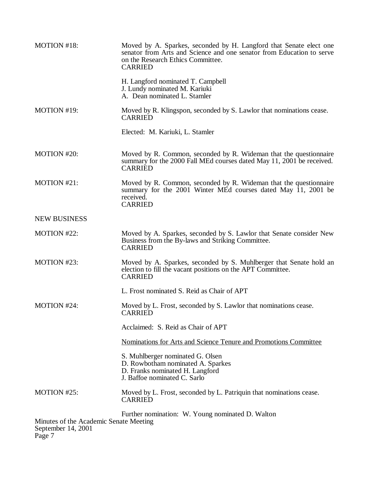| MOTION #18:                                                                                                                | Moved by A. Sparkes, seconded by H. Langford that Senate elect one<br>senator from Arts and Science and one senator from Education to serve<br>on the Research Ethics Committee.<br><b>CARRIED</b> |
|----------------------------------------------------------------------------------------------------------------------------|----------------------------------------------------------------------------------------------------------------------------------------------------------------------------------------------------|
|                                                                                                                            | H. Langford nominated T. Campbell<br>J. Lundy nominated M. Kariuki<br>A. Dean nominated L. Stamler                                                                                                 |
| MOTION #19:                                                                                                                | Moved by R. Klingspon, seconded by S. Lawlor that nominations cease.<br><b>CARRIED</b>                                                                                                             |
|                                                                                                                            | Elected: M. Kariuki, L. Stamler                                                                                                                                                                    |
| <b>MOTION #20:</b>                                                                                                         | Moved by R. Common, seconded by R. Wideman that the questionnaire<br>summary for the 2000 Fall MEd courses dated May 11, 2001 be received.<br><b>CARRIED</b>                                       |
| MOTION #21:                                                                                                                | Moved by R. Common, seconded by R. Wideman that the questionnaire<br>summary for the 2001 Winter MEd courses dated May 11, 2001 be<br>received.<br><b>CARRIED</b>                                  |
| <b>NEW BUSINESS</b>                                                                                                        |                                                                                                                                                                                                    |
| <b>MOTION #22:</b>                                                                                                         | Moved by A. Sparkes, seconded by S. Lawlor that Senate consider New<br>Business from the By-laws and Striking Committee.<br><b>CARRIED</b>                                                         |
| MOTION #23:                                                                                                                | Moved by A. Sparkes, seconded by S. Muhlberger that Senate hold an<br>election to fill the vacant positions on the APT Committee.<br><b>CARRIED</b>                                                |
|                                                                                                                            | L. Frost nominated S. Reid as Chair of APT                                                                                                                                                         |
| MOTION #24:                                                                                                                | Moved by L. Frost, seconded by S. Lawlor that nominations cease.<br><b>CARRIED</b>                                                                                                                 |
|                                                                                                                            | Acclaimed: S. Reid as Chair of APT                                                                                                                                                                 |
|                                                                                                                            | Nominations for Arts and Science Tenure and Promotions Committee                                                                                                                                   |
|                                                                                                                            | S. Muhlberger nominated G. Olsen<br>D. Rowbotham nominated A. Sparkes<br>D. Franks nominated H. Langford<br>J. Baffoe nominated C. Sarlo                                                           |
| MOTION #25:                                                                                                                | Moved by L. Frost, seconded by L. Patriquin that nominations cease.<br><b>CARRIED</b>                                                                                                              |
| Further nomination: W. Young nominated D. Walton<br>Minutes of the Academic Senate Meeting<br>September 14, 2001<br>Page 7 |                                                                                                                                                                                                    |